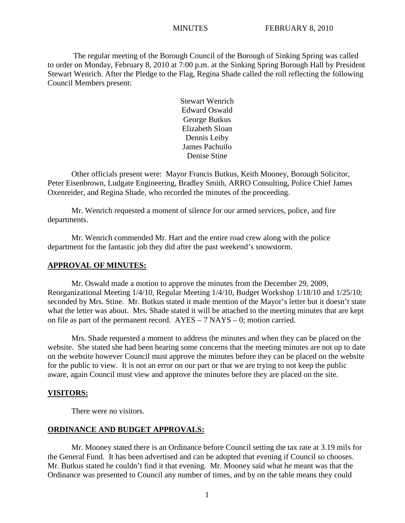The regular meeting of the Borough Council of the Borough of Sinking Spring was called to order on Monday, February 8, 2010 at 7:00 p.m. at the Sinking Spring Borough Hall by President Stewart Wenrich. After the Pledge to the Flag, Regina Shade called the roll reflecting the following Council Members present:

> Stewart Wenrich Edward Oswald George Butkus Elizabeth Sloan Dennis Leiby James Pachuilo Denise Stine

Other officials present were: Mayor Francis Butkus, Keith Mooney, Borough Solicitor, Peter Eisenbrown, Ludgate Engineering, Bradley Smith, ARRO Consulting, Police Chief James Oxenreider, and Regina Shade, who recorded the minutes of the proceeding.

Mr. Wenrich requested a moment of silence for our armed services, police, and fire departments.

Mr. Wenrich commended Mr. Hart and the entire road crew along with the police department for the fantastic job they did after the past weekend's snowstorm.

## **APPROVAL OF MINUTES:**

Mr. Oswald made a motion to approve the minutes from the December 29, 2009, Reorganizational Meeting 1/4/10, Regular Meeting 1/4/10, Budget Workshop 1/18/10 and 1/25/10; seconded by Mrs. Stine. Mr. Butkus stated it made mention of the Mayor's letter but it doesn't state what the letter was about. Mrs. Shade stated it will be attached to the meeting minutes that are kept on file as part of the permanent record. AYES – 7 NAYS – 0; motion carried.

Mrs. Shade requested a moment to address the minutes and when they can be placed on the website. She stated she had been hearing some concerns that the meeting minutes are not up to date on the website however Council must approve the minutes before they can be placed on the website for the public to view. It is not an error on our part or that we are trying to not keep the public aware, again Council must view and approve the minutes before they are placed on the site.

#### **VISITORS:**

There were no visitors.

### **ORDINANCE AND BUDGET APPROVALS:**

Mr. Mooney stated there is an Ordinance before Council setting the tax rate at 3.19 mils for the General Fund. It has been advertised and can be adopted that evening if Council so chooses. Mr. Butkus stated he couldn't find it that evening. Mr. Mooney said what he meant was that the Ordinance was presented to Council any number of times, and by on the table means they could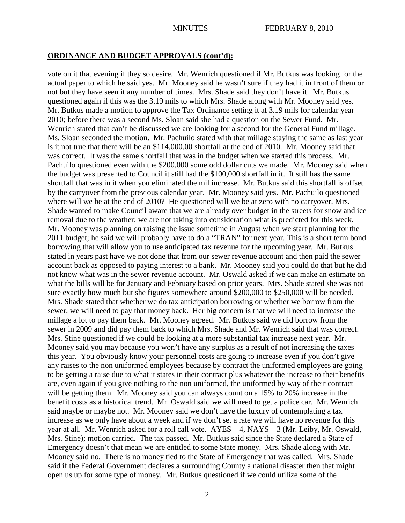## **ORDINANCE AND BUDGET APPROVALS (cont'd):**

vote on it that evening if they so desire. Mr. Wenrich questioned if Mr. Butkus was looking for the actual paper to which he said yes. Mr. Mooney said he wasn't sure if they had it in front of them or not but they have seen it any number of times. Mrs. Shade said they don't have it. Mr. Butkus questioned again if this was the 3.19 mils to which Mrs. Shade along with Mr. Mooney said yes. Mr. Butkus made a motion to approve the Tax Ordinance setting it at 3.19 mils for calendar year 2010; before there was a second Ms. Sloan said she had a question on the Sewer Fund. Mr. Wenrich stated that can't be discussed we are looking for a second for the General Fund millage. Ms. Sloan seconded the motion. Mr. Pachuilo stated with that millage staying the same as last year is it not true that there will be an \$114,000.00 shortfall at the end of 2010. Mr. Mooney said that was correct. It was the same shortfall that was in the budget when we started this process. Mr. Pachuilo questioned even with the \$200,000 some odd dollar cuts we made. Mr. Mooney said when the budget was presented to Council it still had the \$100,000 shortfall in it. It still has the same shortfall that was in it when you eliminated the mil increase. Mr. Butkus said this shortfall is offset by the carryover from the previous calendar year. Mr. Mooney said yes. Mr. Pachuilo questioned where will we be at the end of 2010? He questioned will we be at zero with no carryover. Mrs. Shade wanted to make Council aware that we are already over budget in the streets for snow and ice removal due to the weather; we are not taking into consideration what is predicted for this week. Mr. Mooney was planning on raising the issue sometime in August when we start planning for the 2011 budget; he said we will probably have to do a "TRAN" for next year. This is a short term bond borrowing that will allow you to use anticipated tax revenue for the upcoming year. Mr. Butkus stated in years past have we not done that from our sewer revenue account and then paid the sewer account back as opposed to paying interest to a bank. Mr. Mooney said you could do that but he did not know what was in the sewer revenue account. Mr. Oswald asked if we can make an estimate on what the bills will be for January and February based on prior years. Mrs. Shade stated she was not sure exactly how much but she figures somewhere around \$200,000 to \$250,000 will be needed. Mrs. Shade stated that whether we do tax anticipation borrowing or whether we borrow from the sewer, we will need to pay that money back. Her big concern is that we will need to increase the millage a lot to pay them back. Mr. Mooney agreed. Mr. Butkus said we did borrow from the sewer in 2009 and did pay them back to which Mrs. Shade and Mr. Wenrich said that was correct. Mrs. Stine questioned if we could be looking at a more substantial tax increase next year. Mr. Mooney said you may because you won't have any surplus as a result of not increasing the taxes this year. You obviously know your personnel costs are going to increase even if you don't give any raises to the non uniformed employees because by contract the uniformed employees are going to be getting a raise due to what it states in their contract plus whatever the increase to their benefits are, even again if you give nothing to the non uniformed, the uniformed by way of their contract will be getting them. Mr. Mooney said you can always count on a 15% to 20% increase in the benefit costs as a historical trend. Mr. Oswald said we will need to get a police car. Mr. Wenrich said maybe or maybe not. Mr. Mooney said we don't have the luxury of contemplating a tax increase as we only have about a week and if we don't set a rate we will have no revenue for this year at all. Mr. Wenrich asked for a roll call vote. AYES – 4, NAYS – 3 (Mr. Leiby, Mr. Oswald, Mrs. Stine); motion carried. The tax passed. Mr. Butkus said since the State declared a State of Emergency doesn't that mean we are entitled to some State money. Mrs. Shade along with Mr. Mooney said no. There is no money tied to the State of Emergency that was called. Mrs. Shade said if the Federal Government declares a surrounding County a national disaster then that might open us up for some type of money. Mr. Butkus questioned if we could utilize some of the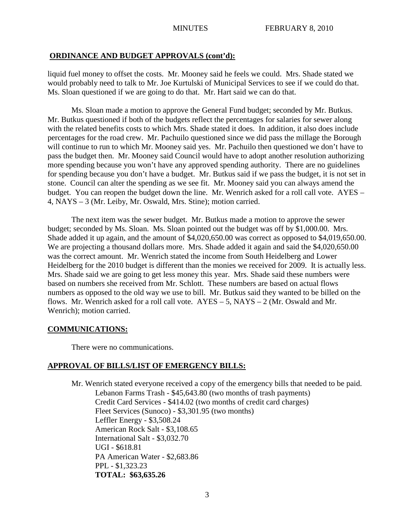## **ORDINANCE AND BUDGET APPROVALS (cont'd):**

liquid fuel money to offset the costs. Mr. Mooney said he feels we could. Mrs. Shade stated we would probably need to talk to Mr. Joe Kurtulski of Municipal Services to see if we could do that. Ms. Sloan questioned if we are going to do that. Mr. Hart said we can do that.

Ms. Sloan made a motion to approve the General Fund budget; seconded by Mr. Butkus. Mr. Butkus questioned if both of the budgets reflect the percentages for salaries for sewer along with the related benefits costs to which Mrs. Shade stated it does. In addition, it also does include percentages for the road crew. Mr. Pachuilo questioned since we did pass the millage the Borough will continue to run to which Mr. Mooney said yes. Mr. Pachuilo then questioned we don't have to pass the budget then. Mr. Mooney said Council would have to adopt another resolution authorizing more spending because you won't have any approved spending authority. There are no guidelines for spending because you don't have a budget. Mr. Butkus said if we pass the budget, it is not set in stone. Council can alter the spending as we see fit. Mr. Mooney said you can always amend the budget. You can reopen the budget down the line. Mr. Wenrich asked for a roll call vote. AYES – 4, NAYS – 3 (Mr. Leiby, Mr. Oswald, Mrs. Stine); motion carried.

The next item was the sewer budget. Mr. Butkus made a motion to approve the sewer budget; seconded by Ms. Sloan. Ms. Sloan pointed out the budget was off by \$1,000.00. Mrs. Shade added it up again, and the amount of \$4,020,650.00 was correct as opposed to \$4,019,650.00. We are projecting a thousand dollars more. Mrs. Shade added it again and said the \$4,020,650.00 was the correct amount. Mr. Wenrich stated the income from South Heidelberg and Lower Heidelberg for the 2010 budget is different than the monies we received for 2009. It is actually less. Mrs. Shade said we are going to get less money this year. Mrs. Shade said these numbers were based on numbers she received from Mr. Schlott. These numbers are based on actual flows numbers as opposed to the old way we use to bill. Mr. Butkus said they wanted to be billed on the flows. Mr. Wenrich asked for a roll call vote.  $AYES - 5$ ,  $NAYS - 2$  (Mr. Oswald and Mr. Wenrich); motion carried.

## **COMMUNICATIONS:**

There were no communications.

## **APPROVAL OF BILLS/LIST OF EMERGENCY BILLS:**

Mr. Wenrich stated everyone received a copy of the emergency bills that needed to be paid. Lebanon Farms Trash - \$45,643.80 (two months of trash payments) Credit Card Services - \$414.02 (two months of credit card charges) Fleet Services (Sunoco) - \$3,301.95 (two months) Leffler Energy - \$3,508.24 American Rock Salt - \$3,108.65 International Salt - \$3,032.70 UGI - \$618.81 PA American Water - \$2,683.86 PPL - \$1,323.23 **TOTAL: \$63,635.26**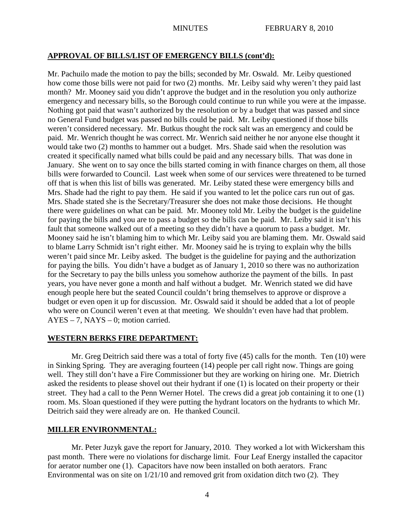## **APPROVAL OF BILLS/LIST OF EMERGENCY BILLS (cont'd):**

Mr. Pachuilo made the motion to pay the bills; seconded by Mr. Oswald. Mr. Leiby questioned how come those bills were not paid for two (2) months. Mr. Leiby said why weren't they paid last month? Mr. Mooney said you didn't approve the budget and in the resolution you only authorize emergency and necessary bills, so the Borough could continue to run while you were at the impasse. Nothing got paid that wasn't authorized by the resolution or by a budget that was passed and since no General Fund budget was passed no bills could be paid. Mr. Leiby questioned if those bills weren't considered necessary. Mr. Butkus thought the rock salt was an emergency and could be paid. Mr. Wenrich thought he was correct. Mr. Wenrich said neither he nor anyone else thought it would take two (2) months to hammer out a budget. Mrs. Shade said when the resolution was created it specifically named what bills could be paid and any necessary bills. That was done in January. She went on to say once the bills started coming in with finance charges on them, all those bills were forwarded to Council. Last week when some of our services were threatened to be turned off that is when this list of bills was generated. Mr. Leiby stated these were emergency bills and Mrs. Shade had the right to pay them. He said if you wanted to let the police cars run out of gas. Mrs. Shade stated she is the Secretary/Treasurer she does not make those decisions. He thought there were guidelines on what can be paid. Mr. Mooney told Mr. Leiby the budget is the guideline for paying the bills and you are to pass a budget so the bills can be paid. Mr. Leiby said it isn't his fault that someone walked out of a meeting so they didn't have a quorum to pass a budget. Mr. Mooney said he isn't blaming him to which Mr. Leiby said you are blaming them. Mr. Oswald said to blame Larry Schmidt isn't right either. Mr. Mooney said he is trying to explain why the bills weren't paid since Mr. Leiby asked. The budget is the guideline for paying and the authorization for paying the bills. You didn't have a budget as of January 1, 2010 so there was no authorization for the Secretary to pay the bills unless you somehow authorize the payment of the bills. In past years, you have never gone a month and half without a budget. Mr. Wenrich stated we did have enough people here but the seated Council couldn't bring themselves to approve or disprove a budget or even open it up for discussion. Mr. Oswald said it should be added that a lot of people who were on Council weren't even at that meeting. We shouldn't even have had that problem. AYES – 7, NAYS – 0; motion carried.

## **WESTERN BERKS FIRE DEPARTMENT:**

Mr. Greg Deitrich said there was a total of forty five (45) calls for the month. Ten (10) were in Sinking Spring. They are averaging fourteen (14) people per call right now. Things are going well. They still don't have a Fire Commissioner but they are working on hiring one. Mr. Dietrich asked the residents to please shovel out their hydrant if one (1) is located on their property or their street. They had a call to the Penn Werner Hotel. The crews did a great job containing it to one (1) room. Ms. Sloan questioned if they were putting the hydrant locators on the hydrants to which Mr. Deitrich said they were already are on. He thanked Council.

## **MILLER ENVIRONMENTAL:**

Mr. Peter Juzyk gave the report for January, 2010. They worked a lot with Wickersham this past month. There were no violations for discharge limit. Four Leaf Energy installed the capacitor for aerator number one (1). Capacitors have now been installed on both aerators. Franc Environmental was on site on 1/21/10 and removed grit from oxidation ditch two (2). They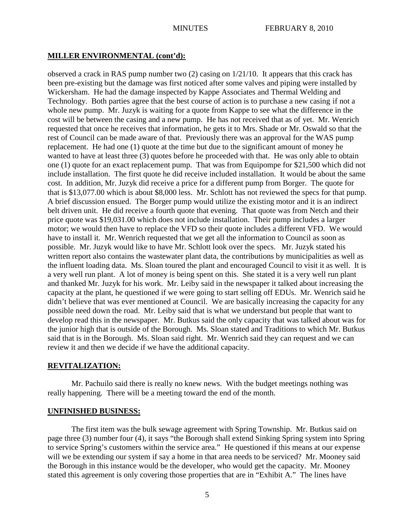## **MILLER ENVIRONMENTAL (cont'd):**

observed a crack in RAS pump number two (2) casing on 1/21/10. It appears that this crack has been pre-existing but the damage was first noticed after some valves and piping were installed by Wickersham. He had the damage inspected by Kappe Associates and Thermal Welding and Technology. Both parties agree that the best course of action is to purchase a new casing if not a whole new pump. Mr. Juzyk is waiting for a quote from Kappe to see what the difference in the cost will be between the casing and a new pump. He has not received that as of yet. Mr. Wenrich requested that once he receives that information, he gets it to Mrs. Shade or Mr. Oswald so that the rest of Council can be made aware of that. Previously there was an approval for the WAS pump replacement. He had one (1) quote at the time but due to the significant amount of money he wanted to have at least three (3) quotes before he proceeded with that. He was only able to obtain one (1) quote for an exact replacement pump. That was from Equipompe for \$21,500 which did not include installation. The first quote he did receive included installation. It would be about the same cost. In addition, Mr. Juzyk did receive a price for a different pump from Borger. The quote for that is \$13,077.00 which is about \$8,000 less. Mr. Schlott has not reviewed the specs for that pump. A brief discussion ensued. The Borger pump would utilize the existing motor and it is an indirect belt driven unit. He did receive a fourth quote that evening. That quote was from Netch and their price quote was \$19,031.00 which does not include installation. Their pump includes a larger motor; we would then have to replace the VFD so their quote includes a different VFD. We would have to install it. Mr. Wenrich requested that we get all the information to Council as soon as possible. Mr. Juzyk would like to have Mr. Schlott look over the specs. Mr. Juzyk stated his written report also contains the wastewater plant data, the contributions by municipalities as well as the influent loading data. Ms. Sloan toured the plant and encouraged Council to visit it as well. It is a very well run plant. A lot of money is being spent on this. She stated it is a very well run plant and thanked Mr. Juzyk for his work. Mr. Leiby said in the newspaper it talked about increasing the capacity at the plant, he questioned if we were going to start selling off EDUs. Mr. Wenrich said he didn't believe that was ever mentioned at Council. We are basically increasing the capacity for any possible need down the road. Mr. Leiby said that is what we understand but people that want to develop read this in the newspaper. Mr. Butkus said the only capacity that was talked about was for the junior high that is outside of the Borough. Ms. Sloan stated and Traditions to which Mr. Butkus said that is in the Borough. Ms. Sloan said right. Mr. Wenrich said they can request and we can review it and then we decide if we have the additional capacity.

## **REVITALIZATION:**

Mr. Pachuilo said there is really no knew news. With the budget meetings nothing was really happening. There will be a meeting toward the end of the month.

### **UNFINISHED BUSINESS:**

The first item was the bulk sewage agreement with Spring Township. Mr. Butkus said on page three (3) number four (4), it says "the Borough shall extend Sinking Spring system into Spring to service Spring's customers within the service area." He questioned if this means at our expense will we be extending our system if say a home in that area needs to be serviced? Mr. Mooney said the Borough in this instance would be the developer, who would get the capacity. Mr. Mooney stated this agreement is only covering those properties that are in "Exhibit A." The lines have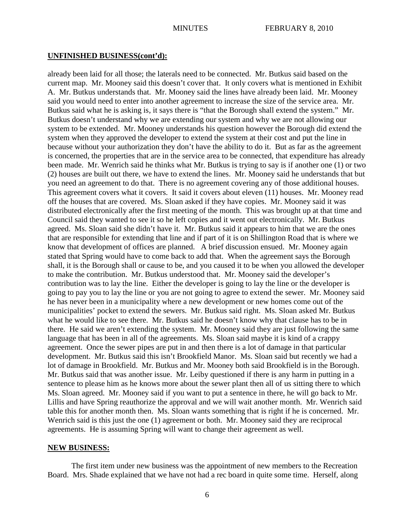### **UNFINISHED BUSINESS(cont'd):**

already been laid for all those; the laterals need to be connected. Mr. Butkus said based on the current map. Mr. Mooney said this doesn't cover that. It only covers what is mentioned in Exhibit A. Mr. Butkus understands that. Mr. Mooney said the lines have already been laid. Mr. Mooney said you would need to enter into another agreement to increase the size of the service area. Mr. Butkus said what he is asking is, it says there is "that the Borough shall extend the system." Mr. Butkus doesn't understand why we are extending our system and why we are not allowing our system to be extended. Mr. Mooney understands his question however the Borough did extend the system when they approved the developer to extend the system at their cost and put the line in because without your authorization they don't have the ability to do it. But as far as the agreement is concerned, the properties that are in the service area to be connected, that expenditure has already been made. Mr. Wenrich said he thinks what Mr. Butkus is trying to say is if another one (1) or two (2) houses are built out there, we have to extend the lines. Mr. Mooney said he understands that but you need an agreement to do that. There is no agreement covering any of those additional houses. This agreement covers what it covers. It said it covers about eleven (11) houses. Mr. Mooney read off the houses that are covered. Ms. Sloan asked if they have copies. Mr. Mooney said it was distributed electronically after the first meeting of the month. This was brought up at that time and Council said they wanted to see it so he left copies and it went out electronically. Mr. Butkus agreed. Ms. Sloan said she didn't have it. Mr. Butkus said it appears to him that we are the ones that are responsible for extending that line and if part of it is on Shillington Road that is where we know that development of offices are planned. A brief discussion ensued. Mr. Mooney again stated that Spring would have to come back to add that. When the agreement says the Borough shall, it is the Borough shall or cause to be, and you caused it to be when you allowed the developer to make the contribution. Mr. Butkus understood that. Mr. Mooney said the developer's contribution was to lay the line. Either the developer is going to lay the line or the developer is going to pay you to lay the line or you are not going to agree to extend the sewer. Mr. Mooney said he has never been in a municipality where a new development or new homes come out of the municipalities' pocket to extend the sewers. Mr. Butkus said right. Ms. Sloan asked Mr. Butkus what he would like to see there. Mr. Butkus said he doesn't know why that clause has to be in there. He said we aren't extending the system. Mr. Mooney said they are just following the same language that has been in all of the agreements. Ms. Sloan said maybe it is kind of a crappy agreement. Once the sewer pipes are put in and then there is a lot of damage in that particular development. Mr. Butkus said this isn't Brookfield Manor. Ms. Sloan said but recently we had a lot of damage in Brookfield. Mr. Butkus and Mr. Mooney both said Brookfield is in the Borough. Mr. Butkus said that was another issue. Mr. Leiby questioned if there is any harm in putting in a sentence to please him as he knows more about the sewer plant then all of us sitting there to which Ms. Sloan agreed. Mr. Mooney said if you want to put a sentence in there, he will go back to Mr. Lillis and have Spring reauthorize the approval and we will wait another month. Mr. Wenrich said table this for another month then. Ms. Sloan wants something that is right if he is concerned. Mr. Wenrich said is this just the one (1) agreement or both. Mr. Mooney said they are reciprocal agreements. He is assuming Spring will want to change their agreement as well.

### **NEW BUSINESS:**

The first item under new business was the appointment of new members to the Recreation Board. Mrs. Shade explained that we have not had a rec board in quite some time. Herself, along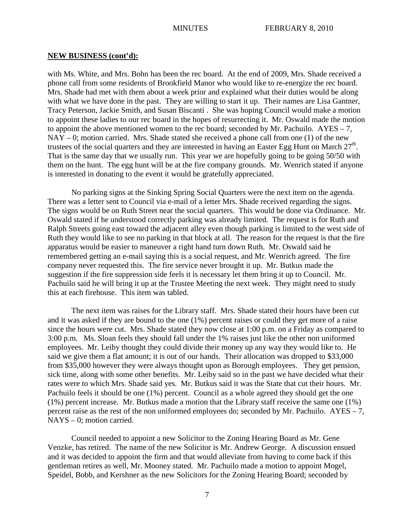with Ms. White, and Mrs. Bohn has been the rec board. At the end of 2009, Mrs. Shade received a phone call from some residents of Brookfield Manor who would like to re-energize the rec board. Mrs. Shade had met with them about a week prior and explained what their duties would be along with what we have done in the past. They are willing to start it up. Their names are Lisa Gantner, Tracy Peterson, Jackie Smith, and Susan Biscanti . She was hoping Council would make a motion to appoint these ladies to our rec board in the hopes of resurrecting it. Mr. Oswald made the motion to appoint the above mentioned women to the rec board; seconded by Mr. Pachuilo. AYES – 7,  $NAY - 0$ ; motion carried. Mrs. Shade stated she received a phone call from one (1) of the new trustees of the social quarters and they are interested in having an Easter Egg Hunt on March  $27<sup>th</sup>$ . That is the same day that we usually run. This year we are hopefully going to be going 50/50 with them on the hunt. The egg hunt will be at the fire company grounds. Mr. Wenrich stated if anyone is interested in donating to the event it would be gratefully appreciated.

No parking signs at the Sinking Spring Social Quarters were the next item on the agenda. There was a letter sent to Council via e-mail of a letter Mrs. Shade received regarding the signs. The signs would be on Ruth Street near the social quarters. This would be done via Ordinance. Mr. Oswald stated if he understood correctly parking was already limited. The request is for Ruth and Ralph Streets going east toward the adjacent alley even though parking is limited to the west side of Ruth they would like to see no parking in that block at all. The reason for the request is that the fire apparatus would be easier to maneuver a right hand turn down Ruth. Mr. Oswald said he remembered getting an e-mail saying this is a social request, and Mr. Wenrich agreed. The fire company never requested this. The fire service never brought it up. Mr. Butkus made the suggestion if the fire suppression side feels it is necessary let them bring it up to Council. Mr. Pachuilo said he will bring it up at the Trustee Meeting the next week. They might need to study this at each firehouse. This item was tabled.

The next item was raises for the Library staff. Mrs. Shade stated their hours have been cut and it was asked if they are bound to the one (1%) percent raises or could they get more of a raise since the hours were cut. Mrs. Shade stated they now close at 1:00 p.m. on a Friday as compared to 3:00 p.m. Ms. Sloan feels they should fall under the 1% raises just like the other non uniformed employees. Mr. Leiby thought they could divide their money up any way they would like to. He said we give them a flat amount; it is out of our hands. Their allocation was dropped to \$33,000 from \$35,000 however they were always thought upon as Borough employees. They get pension, sick time, along with some other benefits. Mr. Leiby said so in the past we have decided what their rates were to which Mrs. Shade said yes. Mr. Butkus said it was the State that cut their hours. Mr. Pachuilo feels it should be one (1%) percent. Council as a whole agreed they should get the one (1%) percent increase. Mr. Butkus made a motion that the Library staff receive the same one (1%) percent raise as the rest of the non uniformed employees do; seconded by Mr. Pachuilo. AYES – 7, NAYS – 0; motion carried.

Council needed to appoint a new Solicitor to the Zoning Hearing Board as Mr. Gene Venzke, has retired. The name of the new Solicitor is Mr. Andrew George. A discussion ensued and it was decided to appoint the firm and that would alleviate from having to come back if this gentleman retires as well, Mr. Mooney stated. Mr. Pachuilo made a motion to appoint Mogel, Speidel, Bobb, and Kershner as the new Solicitors for the Zoning Hearing Board; seconded by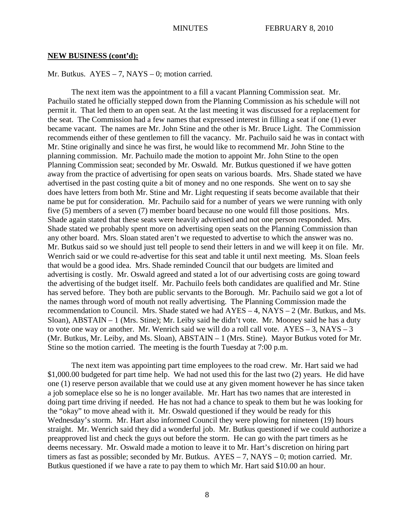Mr. Butkus.  $AYES - 7$ ,  $NAYS - 0$ ; motion carried.

The next item was the appointment to a fill a vacant Planning Commission seat. Mr. Pachuilo stated he officially stepped down from the Planning Commission as his schedule will not permit it. That led them to an open seat. At the last meeting it was discussed for a replacement for the seat. The Commission had a few names that expressed interest in filling a seat if one (1) ever became vacant. The names are Mr. John Stine and the other is Mr. Bruce Light. The Commission recommends either of these gentlemen to fill the vacancy. Mr. Pachuilo said he was in contact with Mr. Stine originally and since he was first, he would like to recommend Mr. John Stine to the planning commission. Mr. Pachuilo made the motion to appoint Mr. John Stine to the open Planning Commission seat; seconded by Mr. Oswald. Mr. Butkus questioned if we have gotten away from the practice of advertising for open seats on various boards. Mrs. Shade stated we have advertised in the past costing quite a bit of money and no one responds. She went on to say she does have letters from both Mr. Stine and Mr. Light requesting if seats become available that their name be put for consideration. Mr. Pachuilo said for a number of years we were running with only five (5) members of a seven (7) member board because no one would fill those positions. Mrs. Shade again stated that these seats were heavily advertised and not one person responded. Mrs. Shade stated we probably spent more on advertising open seats on the Planning Commission than any other board. Mrs. Sloan stated aren't we requested to advertise to which the answer was no. Mr. Butkus said so we should just tell people to send their letters in and we will keep it on file. Mr. Wenrich said or we could re-advertise for this seat and table it until next meeting. Ms. Sloan feels that would be a good idea. Mrs. Shade reminded Council that our budgets are limited and advertising is costly. Mr. Oswald agreed and stated a lot of our advertising costs are going toward the advertising of the budget itself. Mr. Pachuilo feels both candidates are qualified and Mr. Stine has served before. They both are public servants to the Borough. Mr. Pachuilo said we got a lot of the names through word of mouth not really advertising. The Planning Commission made the recommendation to Council. Mrs. Shade stated we had AYES – 4, NAYS – 2 (Mr. Butkus, and Ms. Sloan), ABSTAIN – 1 (Mrs. Stine); Mr. Leiby said he didn't vote. Mr. Mooney said he has a duty to vote one way or another. Mr. Wenrich said we will do a roll call vote. AYES – 3, NAYS – 3 (Mr. Butkus, Mr. Leiby, and Ms. Sloan), ABSTAIN – 1 (Mrs. Stine). Mayor Butkus voted for Mr. Stine so the motion carried. The meeting is the fourth Tuesday at 7:00 p.m.

The next item was appointing part time employees to the road crew. Mr. Hart said we had \$1,000.00 budgeted for part time help. We had not used this for the last two (2) years. He did have one (1) reserve person available that we could use at any given moment however he has since taken a job someplace else so he is no longer available. Mr. Hart has two names that are interested in doing part time driving if needed. He has not had a chance to speak to them but he was looking for the "okay" to move ahead with it. Mr. Oswald questioned if they would be ready for this Wednesday's storm. Mr. Hart also informed Council they were plowing for nineteen (19) hours straight. Mr. Wenrich said they did a wonderful job. Mr. Butkus questioned if we could authorize a preapproved list and check the guys out before the storm. He can go with the part timers as he deems necessary. Mr. Oswald made a motion to leave it to Mr. Hart's discretion on hiring part timers as fast as possible; seconded by Mr. Butkus. AYES – 7, NAYS – 0; motion carried. Mr. Butkus questioned if we have a rate to pay them to which Mr. Hart said \$10.00 an hour.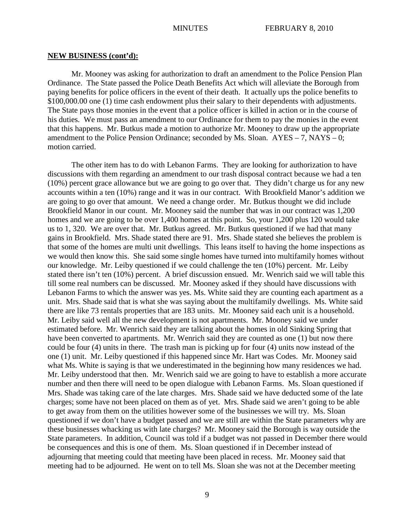Mr. Mooney was asking for authorization to draft an amendment to the Police Pension Plan Ordinance. The State passed the Police Death Benefits Act which will alleviate the Borough from paying benefits for police officers in the event of their death. It actually ups the police benefits to \$100,000.00 one (1) time cash endowment plus their salary to their dependents with adjustments. The State pays those monies in the event that a police officer is killed in action or in the course of his duties. We must pass an amendment to our Ordinance for them to pay the monies in the event that this happens. Mr. Butkus made a motion to authorize Mr. Mooney to draw up the appropriate amendment to the Police Pension Ordinance; seconded by Ms. Sloan. AYES – 7, NAYS – 0; motion carried.

The other item has to do with Lebanon Farms. They are looking for authorization to have discussions with them regarding an amendment to our trash disposal contract because we had a ten (10%) percent grace allowance but we are going to go over that. They didn't charge us for any new accounts within a ten (10%) range and it was in our contract. With Brookfield Manor's addition we are going to go over that amount. We need a change order. Mr. Butkus thought we did include Brookfield Manor in our count. Mr. Mooney said the number that was in our contract was 1,200 homes and we are going to be over 1,400 homes at this point. So, your 1,200 plus 120 would take us to 1, 320. We are over that. Mr. Butkus agreed. Mr. Butkus questioned if we had that many gains in Brookfield. Mrs. Shade stated there are 91. Mrs. Shade stated she believes the problem is that some of the homes are multi unit dwellings. This leans itself to having the home inspections as we would then know this. She said some single homes have turned into multifamily homes without our knowledge. Mr. Leiby questioned if we could challenge the ten (10%) percent. Mr. Leiby stated there isn't ten (10%) percent. A brief discussion ensued. Mr. Wenrich said we will table this till some real numbers can be discussed. Mr. Mooney asked if they should have discussions with Lebanon Farms to which the answer was yes. Ms. White said they are counting each apartment as a unit. Mrs. Shade said that is what she was saying about the multifamily dwellings. Ms. White said there are like 73 rentals properties that are 183 units. Mr. Mooney said each unit is a household. Mr. Leiby said well all the new development is not apartments. Mr. Mooney said we under estimated before. Mr. Wenrich said they are talking about the homes in old Sinking Spring that have been converted to apartments. Mr. Wenrich said they are counted as one (1) but now there could be four (4) units in there. The trash man is picking up for four (4) units now instead of the one (1) unit. Mr. Leiby questioned if this happened since Mr. Hart was Codes. Mr. Mooney said what Ms. White is saying is that we underestimated in the beginning how many residences we had. Mr. Leiby understood that then. Mr. Wenrich said we are going to have to establish a more accurate number and then there will need to be open dialogue with Lebanon Farms. Ms. Sloan questioned if Mrs. Shade was taking care of the late charges. Mrs. Shade said we have deducted some of the late charges; some have not been placed on them as of yet. Mrs. Shade said we aren't going to be able to get away from them on the utilities however some of the businesses we will try. Ms. Sloan questioned if we don't have a budget passed and we are still are within the State parameters why are these businesses whacking us with late charges? Mr. Mooney said the Borough is way outside the State parameters. In addition, Council was told if a budget was not passed in December there would be consequences and this is one of them. Ms. Sloan questioned if in December instead of adjourning that meeting could that meeting have been placed in recess. Mr. Mooney said that meeting had to be adjourned. He went on to tell Ms. Sloan she was not at the December meeting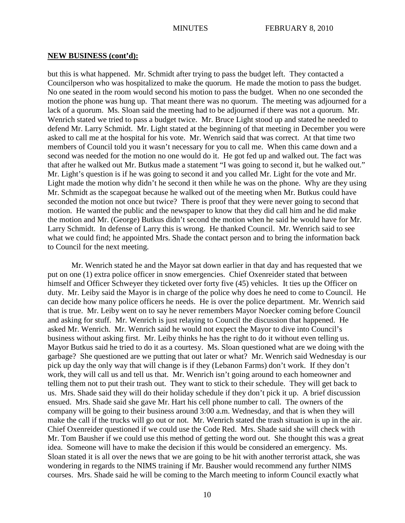but this is what happened. Mr. Schmidt after trying to pass the budget left. They contacted a Councilperson who was hospitalized to make the quorum. He made the motion to pass the budget. No one seated in the room would second his motion to pass the budget. When no one seconded the motion the phone was hung up. That meant there was no quorum. The meeting was adjourned for a lack of a quorum. Ms. Sloan said the meeting had to be adjourned if there was not a quorum. Mr. Wenrich stated we tried to pass a budget twice. Mr. Bruce Light stood up and stated he needed to defend Mr. Larry Schmidt. Mr. Light stated at the beginning of that meeting in December you were asked to call me at the hospital for his vote. Mr. Wenrich said that was correct. At that time two members of Council told you it wasn't necessary for you to call me. When this came down and a second was needed for the motion no one would do it. He got fed up and walked out. The fact was that after he walked out Mr. Butkus made a statement "I was going to second it, but he walked out." Mr. Light's question is if he was going to second it and you called Mr. Light for the vote and Mr. Light made the motion why didn't he second it then while he was on the phone. Why are they using Mr. Schmidt as the scapegoat because he walked out of the meeting when Mr. Butkus could have seconded the motion not once but twice? There is proof that they were never going to second that motion. He wanted the public and the newspaper to know that they did call him and he did make the motion and Mr. (George) Butkus didn't second the motion when he said he would have for Mr. Larry Schmidt. In defense of Larry this is wrong. He thanked Council. Mr. Wenrich said to see what we could find; he appointed Mrs. Shade the contact person and to bring the information back to Council for the next meeting.

Mr. Wenrich stated he and the Mayor sat down earlier in that day and has requested that we put on one (1) extra police officer in snow emergencies. Chief Oxenreider stated that between himself and Officer Schweyer they ticketed over forty five (45) vehicles. It ties up the Officer on duty. Mr. Leiby said the Mayor is in charge of the police why does he need to come to Council. He can decide how many police officers he needs. He is over the police department. Mr. Wenrich said that is true. Mr. Leiby went on to say he never remembers Mayor Noecker coming before Council and asking for stuff. Mr. Wenrich is just relaying to Council the discussion that happened. He asked Mr. Wenrich. Mr. Wenrich said he would not expect the Mayor to dive into Council's business without asking first. Mr. Leiby thinks he has the right to do it without even telling us. Mayor Butkus said he tried to do it as a courtesy. Ms. Sloan questioned what are we doing with the garbage? She questioned are we putting that out later or what? Mr. Wenrich said Wednesday is our pick up day the only way that will change is if they (Lebanon Farms) don't work. If they don't work, they will call us and tell us that. Mr. Wenrich isn't going around to each homeowner and telling them not to put their trash out. They want to stick to their schedule. They will get back to us. Mrs. Shade said they will do their holiday schedule if they don't pick it up. A brief discussion ensued. Mrs. Shade said she gave Mr. Hart his cell phone number to call. The owners of the company will be going to their business around 3:00 a.m. Wednesday, and that is when they will make the call if the trucks will go out or not. Mr. Wenrich stated the trash situation is up in the air. Chief Oxenreider questioned if we could use the Code Red. Mrs. Shade said she will check with Mr. Tom Bausher if we could use this method of getting the word out. She thought this was a great idea. Someone will have to make the decision if this would be considered an emergency. Ms. Sloan stated it is all over the news that we are going to be hit with another terrorist attack, she was wondering in regards to the NIMS training if Mr. Bausher would recommend any further NIMS courses. Mrs. Shade said he will be coming to the March meeting to inform Council exactly what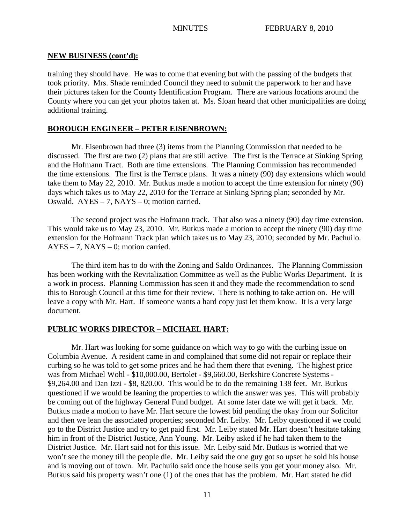training they should have. He was to come that evening but with the passing of the budgets that took priority. Mrs. Shade reminded Council they need to submit the paperwork to her and have their pictures taken for the County Identification Program. There are various locations around the County where you can get your photos taken at. Ms. Sloan heard that other municipalities are doing additional training.

## **BOROUGH ENGINEER – PETER EISENBROWN:**

Mr. Eisenbrown had three (3) items from the Planning Commission that needed to be discussed. The first are two (2) plans that are still active. The first is the Terrace at Sinking Spring and the Hofmann Tract. Both are time extensions. The Planning Commission has recommended the time extensions. The first is the Terrace plans. It was a ninety (90) day extensions which would take them to May 22, 2010. Mr. Butkus made a motion to accept the time extension for ninety (90) days which takes us to May 22, 2010 for the Terrace at Sinking Spring plan; seconded by Mr. Oswald. AYES – 7, NAYS – 0; motion carried.

The second project was the Hofmann track. That also was a ninety (90) day time extension. This would take us to May 23, 2010. Mr. Butkus made a motion to accept the ninety (90) day time extension for the Hofmann Track plan which takes us to May 23, 2010; seconded by Mr. Pachuilo. AYES – 7, NAYS – 0; motion carried.

The third item has to do with the Zoning and Saldo Ordinances. The Planning Commission has been working with the Revitalization Committee as well as the Public Works Department. It is a work in process. Planning Commission has seen it and they made the recommendation to send this to Borough Council at this time for their review. There is nothing to take action on. He will leave a copy with Mr. Hart. If someone wants a hard copy just let them know. It is a very large document.

## **PUBLIC WORKS DIRECTOR – MICHAEL HART:**

Mr. Hart was looking for some guidance on which way to go with the curbing issue on Columbia Avenue. A resident came in and complained that some did not repair or replace their curbing so he was told to get some prices and he had them there that evening. The highest price was from Michael Wohl - \$10,000.00, Bertolet - \$9,660.00, Berkshire Concrete Systems - \$9,264.00 and Dan Izzi - \$8, 820.00. This would be to do the remaining 138 feet. Mr. Butkus questioned if we would be leaning the properties to which the answer was yes. This will probably be coming out of the highway General Fund budget. At some later date we will get it back. Mr. Butkus made a motion to have Mr. Hart secure the lowest bid pending the okay from our Solicitor and then we lean the associated properties; seconded Mr. Leiby. Mr. Leiby questioned if we could go to the District Justice and try to get paid first. Mr. Leiby stated Mr. Hart doesn't hesitate taking him in front of the District Justice, Ann Young. Mr. Leiby asked if he had taken them to the District Justice. Mr. Hart said not for this issue. Mr. Leiby said Mr. Butkus is worried that we won't see the money till the people die. Mr. Leiby said the one guy got so upset he sold his house and is moving out of town. Mr. Pachuilo said once the house sells you get your money also. Mr. Butkus said his property wasn't one (1) of the ones that has the problem. Mr. Hart stated he did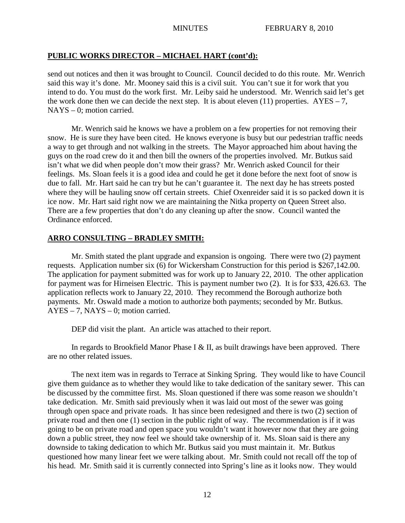# **PUBLIC WORKS DIRECTOR – MICHAEL HART (cont'd):**

send out notices and then it was brought to Council. Council decided to do this route. Mr. Wenrich said this way it's done. Mr. Mooney said this is a civil suit. You can't sue it for work that you intend to do. You must do the work first. Mr. Leiby said he understood. Mr. Wenrich said let's get the work done then we can decide the next step. It is about eleven (11) properties.  $AYES - 7$ , NAYS – 0; motion carried.

Mr. Wenrich said he knows we have a problem on a few properties for not removing their snow. He is sure they have been cited. He knows everyone is busy but our pedestrian traffic needs a way to get through and not walking in the streets. The Mayor approached him about having the guys on the road crew do it and then bill the owners of the properties involved. Mr. Butkus said isn't what we did when people don't mow their grass? Mr. Wenrich asked Council for their feelings. Ms. Sloan feels it is a good idea and could he get it done before the next foot of snow is due to fall. Mr. Hart said he can try but he can't guarantee it. The next day he has streets posted where they will be hauling snow off certain streets. Chief Oxenreider said it is so packed down it is ice now. Mr. Hart said right now we are maintaining the Nitka property on Queen Street also. There are a few properties that don't do any cleaning up after the snow. Council wanted the Ordinance enforced.

## **ARRO CONSULTING – BRADLEY SMITH:**

Mr. Smith stated the plant upgrade and expansion is ongoing. There were two (2) payment requests. Application number six (6) for Wickersham Construction for this period is \$267,142.00. The application for payment submitted was for work up to January 22, 2010. The other application for payment was for Hirneisen Electric. This is payment number two (2). It is for \$33, 426.63. The application reflects work to January 22, 2010. They recommend the Borough authorize both payments. Mr. Oswald made a motion to authorize both payments; seconded by Mr. Butkus. AYES – 7, NAYS – 0; motion carried.

DEP did visit the plant. An article was attached to their report.

In regards to Brookfield Manor Phase I & II, as built drawings have been approved. There are no other related issues.

The next item was in regards to Terrace at Sinking Spring. They would like to have Council give them guidance as to whether they would like to take dedication of the sanitary sewer. This can be discussed by the committee first. Ms. Sloan questioned if there was some reason we shouldn't take dedication. Mr. Smith said previously when it was laid out most of the sewer was going through open space and private roads. It has since been redesigned and there is two (2) section of private road and then one (1) section in the public right of way. The recommendation is if it was going to be on private road and open space you wouldn't want it however now that they are going down a public street, they now feel we should take ownership of it. Ms. Sloan said is there any downside to taking dedication to which Mr. Butkus said you must maintain it. Mr. Butkus questioned how many linear feet we were talking about. Mr. Smith could not recall off the top of his head. Mr. Smith said it is currently connected into Spring's line as it looks now. They would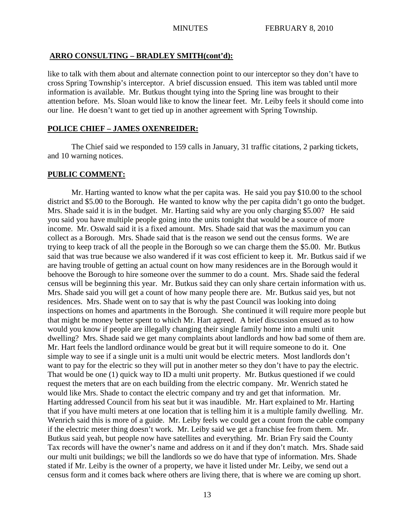## **ARRO CONSULTING – BRADLEY SMITH(cont'd):**

like to talk with them about and alternate connection point to our interceptor so they don't have to cross Spring Township's interceptor. A brief discussion ensued. This item was tabled until more information is available. Mr. Butkus thought tying into the Spring line was brought to their attention before. Ms. Sloan would like to know the linear feet. Mr. Leiby feels it should come into our line. He doesn't want to get tied up in another agreement with Spring Township.

## **POLICE CHIEF – JAMES OXENREIDER:**

The Chief said we responded to 159 calls in January, 31 traffic citations, 2 parking tickets, and 10 warning notices.

## **PUBLIC COMMENT:**

Mr. Harting wanted to know what the per capita was. He said you pay \$10.00 to the school district and \$5.00 to the Borough. He wanted to know why the per capita didn't go onto the budget. Mrs. Shade said it is in the budget. Mr. Harting said why are you only charging \$5.00? He said you said you have multiple people going into the units tonight that would be a source of more income. Mr. Oswald said it is a fixed amount. Mrs. Shade said that was the maximum you can collect as a Borough. Mrs. Shade said that is the reason we send out the census forms. We are trying to keep track of all the people in the Borough so we can charge them the \$5.00. Mr. Butkus said that was true because we also wandered if it was cost efficient to keep it. Mr. Butkus said if we are having trouble of getting an actual count on how many residences are in the Borough would it behoove the Borough to hire someone over the summer to do a count. Mrs. Shade said the federal census will be beginning this year. Mr. Butkus said they can only share certain information with us. Mrs. Shade said you will get a count of how many people there are. Mr. Butkus said yes, but not residences. Mrs. Shade went on to say that is why the past Council was looking into doing inspections on homes and apartments in the Borough. She continued it will require more people but that might be money better spent to which Mr. Hart agreed. A brief discussion ensued as to how would you know if people are illegally changing their single family home into a multi unit dwelling? Mrs. Shade said we get many complaints about landlords and how bad some of them are. Mr. Hart feels the landlord ordinance would be great but it will require someone to do it. One simple way to see if a single unit is a multi unit would be electric meters. Most landlords don't want to pay for the electric so they will put in another meter so they don't have to pay the electric. That would be one (1) quick way to ID a multi unit property. Mr. Butkus questioned if we could request the meters that are on each building from the electric company. Mr. Wenrich stated he would like Mrs. Shade to contact the electric company and try and get that information. Mr. Harting addressed Council from his seat but it was inaudible. Mr. Hart explained to Mr. Harting that if you have multi meters at one location that is telling him it is a multiple family dwelling. Mr. Wenrich said this is more of a guide. Mr. Leiby feels we could get a count from the cable company if the electric meter thing doesn't work. Mr. Leiby said we get a franchise fee from them. Mr. Butkus said yeah, but people now have satellites and everything. Mr. Brian Fry said the County Tax records will have the owner's name and address on it and if they don't match. Mrs. Shade said our multi unit buildings; we bill the landlords so we do have that type of information. Mrs. Shade stated if Mr. Leiby is the owner of a property, we have it listed under Mr. Leiby, we send out a census form and it comes back where others are living there, that is where we are coming up short.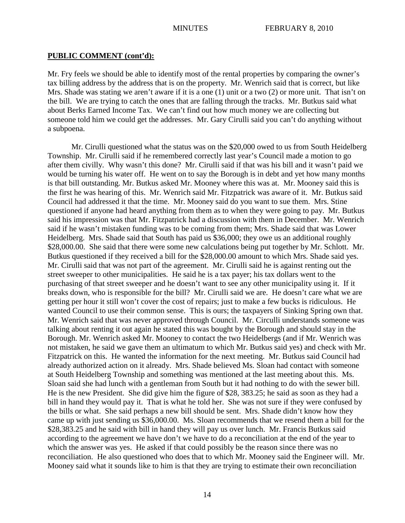## **PUBLIC COMMENT (cont'd):**

Mr. Fry feels we should be able to identify most of the rental properties by comparing the owner's tax billing address by the address that is on the property. Mr. Wenrich said that is correct, but like Mrs. Shade was stating we aren't aware if it is a one (1) unit or a two (2) or more unit. That isn't on the bill. We are trying to catch the ones that are falling through the tracks. Mr. Butkus said what about Berks Earned Income Tax. We can't find out how much money we are collecting but someone told him we could get the addresses. Mr. Gary Cirulli said you can't do anything without a subpoena.

Mr. Cirulli questioned what the status was on the \$20,000 owed to us from South Heidelberg Township. Mr. Cirulli said if he remembered correctly last year's Council made a motion to go after them civilly. Why wasn't this done? Mr. Cirulli said if that was his bill and it wasn't paid we would be turning his water off. He went on to say the Borough is in debt and yet how many months is that bill outstanding. Mr. Butkus asked Mr. Mooney where this was at. Mr. Mooney said this is the first he was hearing of this. Mr. Wenrich said Mr. Fitzpatrick was aware of it. Mr. Butkus said Council had addressed it that the time. Mr. Mooney said do you want to sue them. Mrs. Stine questioned if anyone had heard anything from them as to when they were going to pay. Mr. Butkus said his impression was that Mr. Fitzpatrick had a discussion with them in December. Mr. Wenrich said if he wasn't mistaken funding was to be coming from them; Mrs. Shade said that was Lower Heidelberg. Mrs. Shade said that South has paid us \$36,000; they owe us an additional roughly \$28,000.00. She said that there were some new calculations being put together by Mr. Schlott. Mr. Butkus questioned if they received a bill for the \$28,000.00 amount to which Mrs. Shade said yes. Mr. Cirulli said that was not part of the agreement. Mr. Cirulli said he is against renting out the street sweeper to other municipalities. He said he is a tax payer; his tax dollars went to the purchasing of that street sweeper and he doesn't want to see any other municipality using it. If it breaks down, who is responsible for the bill? Mr. Cirulli said we are. He doesn't care what we are getting per hour it still won't cover the cost of repairs; just to make a few bucks is ridiculous. He wanted Council to use their common sense. This is ours; the taxpayers of Sinking Spring own that. Mr. Wenrich said that was never approved through Council. Mr. Circulli understands someone was talking about renting it out again he stated this was bought by the Borough and should stay in the Borough. Mr. Wenrich asked Mr. Mooney to contact the two Heidelbergs (and if Mr. Wenrich was not mistaken, he said we gave them an ultimatum to which Mr. Butkus said yes) and check with Mr. Fitzpatrick on this. He wanted the information for the next meeting. Mr. Butkus said Council had already authorized action on it already. Mrs. Shade believed Ms. Sloan had contact with someone at South Heidelberg Township and something was mentioned at the last meeting about this. Ms. Sloan said she had lunch with a gentleman from South but it had nothing to do with the sewer bill. He is the new President. She did give him the figure of \$28, 383.25; he said as soon as they had a bill in hand they would pay it. That is what he told her. She was not sure if they were confused by the bills or what. She said perhaps a new bill should be sent. Mrs. Shade didn't know how they came up with just sending us \$36,000.00. Ms. Sloan recommends that we resend them a bill for the \$28,383.25 and he said with bill in hand they will pay us over lunch. Mr. Francis Butkus said according to the agreement we have don't we have to do a reconciliation at the end of the year to which the answer was yes. He asked if that could possibly be the reason since there was no reconciliation. He also questioned who does that to which Mr. Mooney said the Engineer will. Mr. Mooney said what it sounds like to him is that they are trying to estimate their own reconciliation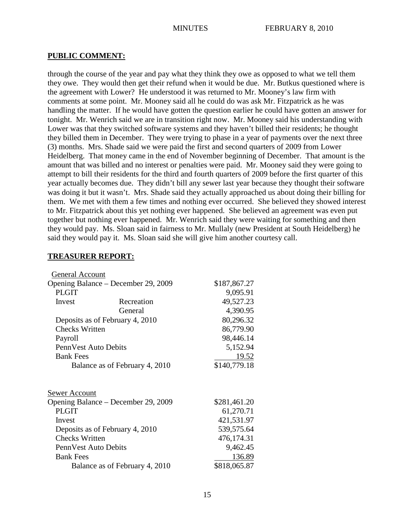## **PUBLIC COMMENT:**

through the course of the year and pay what they think they owe as opposed to what we tell them they owe. They would then get their refund when it would be due. Mr. Butkus questioned where is the agreement with Lower? He understood it was returned to Mr. Mooney's law firm with comments at some point. Mr. Mooney said all he could do was ask Mr. Fitzpatrick as he was handling the matter. If he would have gotten the question earlier he could have gotten an answer for tonight. Mr. Wenrich said we are in transition right now. Mr. Mooney said his understanding with Lower was that they switched software systems and they haven't billed their residents; he thought they billed them in December. They were trying to phase in a year of payments over the next three (3) months. Mrs. Shade said we were paid the first and second quarters of 2009 from Lower Heidelberg. That money came in the end of November beginning of December. That amount is the amount that was billed and no interest or penalties were paid. Mr. Mooney said they were going to attempt to bill their residents for the third and fourth quarters of 2009 before the first quarter of this year actually becomes due. They didn't bill any sewer last year because they thought their software was doing it but it wasn't. Mrs. Shade said they actually approached us about doing their billing for them. We met with them a few times and nothing ever occurred. She believed they showed interest to Mr. Fitzpatrick about this yet nothing ever happened. She believed an agreement was even put together but nothing ever happened. Mr. Wenrich said they were waiting for something and then they would pay. Ms. Sloan said in fairness to Mr. Mullaly (new President at South Heidelberg) he said they would pay it. Ms. Sloan said she will give him another courtesy call.

## **TREASURER REPORT:**

| General Account                     |              |              |
|-------------------------------------|--------------|--------------|
| Opening Balance – December 29, 2009 | \$187,867.27 |              |
| <b>PLGIT</b>                        |              | 9,095.91     |
| Invest                              | Recreation   | 49,527.23    |
|                                     | General      | 4,390.95     |
| Deposits as of February 4, 2010     |              | 80,296.32    |
| <b>Checks Written</b>               |              | 86,779.90    |
| Payroll                             |              | 98,446.14    |
| PennVest Auto Debits                |              | 5,152.94     |
| <b>Bank Fees</b>                    |              | <u>19.52</u> |
| Balance as of February 4, 2010      |              | \$140,779.18 |
|                                     |              |              |
| Sewer Account                       |              |              |
| Opening Balance – December 29, 2009 |              | \$281,461.20 |
| <b>PLGIT</b>                        |              | 61,270.71    |
| Invest                              |              | 421,531.97   |
| Deposits as of February 4, 2010     |              | 539, 575.64  |
| <b>Checks Written</b>               |              | 476,174.31   |
| Penn Vest Auto Debits               |              | 9,462.45     |
| <b>Bank Fees</b>                    |              | 136.89       |
| Balance as of February 4, 2010      |              | \$818,065.87 |